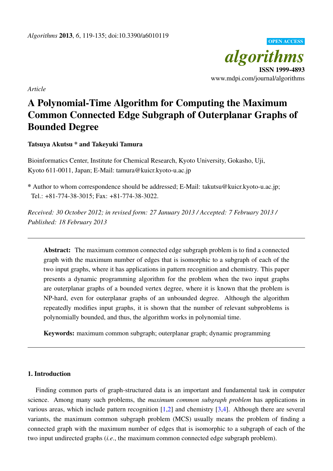

*Article*

# A Polynomial-Time Algorithm for Computing the Maximum Common Connected Edge Subgraph of Outerplanar Graphs of Bounded Degree

## Tatsuya Akutsu \* and Takeyuki Tamura

Bioinformatics Center, Institute for Chemical Research, Kyoto University, Gokasho, Uji, Kyoto 611-0011, Japan; E-Mail: tamura@kuicr.kyoto-u.ac.jp

\* Author to whom correspondence should be addressed; E-Mail: takutsu@kuicr.kyoto-u.ac.jp; Tel.: +81-774-38-3015; Fax: +81-774-38-3022.

*Received: 30 October 2012; in revised form: 27 January 2013 / Accepted: 7 February 2013 / Published: 18 February 2013*

Abstract: The maximum common connected edge subgraph problem is to find a connected graph with the maximum number of edges that is isomorphic to a subgraph of each of the two input graphs, where it has applications in pattern recognition and chemistry. This paper presents a dynamic programming algorithm for the problem when the two input graphs are outerplanar graphs of a bounded vertex degree, where it is known that the problem is NP-hard, even for outerplanar graphs of an unbounded degree. Although the algorithm repeatedly modifies input graphs, it is shown that the number of relevant subproblems is polynomially bounded, and thus, the algorithm works in polynomial time.

Keywords: maximum common subgraph; outerplanar graph; dynamic programming

### 1. Introduction

Finding common parts of graph-structured data is an important and fundamental task in computer science. Among many such problems, the *maximum common subgraph problem* has applications in various areas, which include pattern recognition [1,2] and chemistry [3,4]. Although there are several variants, the maximum common subgraph problem (MCS) usually means the problem of finding a connected graph with the maximum number of edges that is isomorphic to a subgraph of each of the two input undirected graphs (*i.e*., the maximum common connected edge subgraph problem).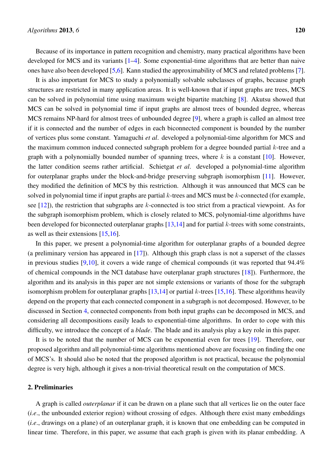Because of its importance in pattern recognition and chemistry, many practical algorithms have been developed for MCS and its variants [1–4]. Some exponential-time algorithms that are better than naive ones have also been developed [5,6]. Kann studied the approximability of MCS and related problems [7].

It is also important for MCS to study a polynomially solvable subclasses of graphs, because graph structures are restricted in many application areas. It is well-known that if input graphs are trees, MCS can be solved in polynomial time using maximum weight bipartite matching [8]. Akutsu showed that MCS can be solved in polynomial time if input graphs are almost trees of bounded degree, whereas MCS remains NP-hard for almost trees of unbounded degree [9], where a graph is called an almost tree if it is connected and the number of edges in each biconnected component is bounded by the number of vertices plus some constant. Yamaguchi *et al*. developed a polynomial-time algorithm for MCS and the maximum common induced connected subgraph problem for a degree bounded partial *k*-tree and a graph with a polynomially bounded number of spanning trees, where *k* is a constant [10]. However, the latter condition seems rather artificial. Schietgat *et al*. developed a polynomial-time algorithm for outerplanar graphs under the block-and-bridge preserving subgraph isomorphism [11]. However, they modified the definition of MCS by this restriction. Although it was announced that MCS can be solved in polynomial time if input graphs are partial *k*-trees and MCS must be *k*-connected (for example, see [12]), the restriction that subgraphs are *k*-connected is too strict from a practical viewpoint. As for the subgraph isomorphism problem, which is closely related to MCS, polynomial-time algorithms have been developed for biconnected outerplanar graphs [13,14] and for partial *k*-trees with some constraints, as well as their extensions [15,16].

In this paper, we present a polynomial-time algorithm for outerplanar graphs of a bounded degree (a preliminary version has appeared in [17]). Although this graph class is not a superset of the classes in previous studies [9,10], it covers a wide range of chemical compounds (it was reported that 94.4% of chemical compounds in the NCI database have outerplanar graph structures [18]). Furthermore, the algorithm and its analysis in this paper are not simple extensions or variants of those for the subgraph isomorphism problem for outerplanar graphs [13,14] or partial *k*-trees [15,16]. These algorithms heavily depend on the property that each connected component in a subgraph is not decomposed. However, to be discussed in Section 4, connected components from both input graphs can be decomposed in MCS, and considering all decompositions easily leads to exponential-time algorithms. In order to cope with this difficulty, we introduce the concept of a *blade*. The blade and its analysis play a key role in this paper.

It is to be noted that the number of MCS can be exponential even for trees [19]. Therefore, our proposed algorithm and all polynomial-time algorithms mentioned above are focusing on finding the one of MCS's. It should also be noted that the proposed algorithm is not practical, because the polynomial degree is very high, although it gives a non-trivial theoretical result on the computation of MCS.

#### 2. Preliminaries

A graph is called *outerplanar* if it can be drawn on a plane such that all vertices lie on the outer face (*i.e*., the unbounded exterior region) without crossing of edges. Although there exist many embeddings (*i.e*., drawings on a plane) of an outerplanar graph, it is known that one embedding can be computed in linear time. Therefore, in this paper, we assume that each graph is given with its planar embedding. A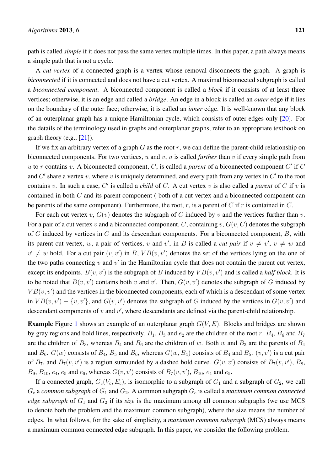path is called *simple* if it does not pass the same vertex multiple times. In this paper, a path always means a simple path that is not a cycle.

A *cut vertex* of a connected graph is a vertex whose removal disconnects the graph. A graph is *biconnected* if it is connected and does not have a cut vertex. A maximal biconnected subgraph is called a *biconnected component*. A biconnected component is called a *block* if it consists of at least three vertices; otherwise, it is an edge and called a *bridge*. An edge in a block is called an *outer* edge if it lies on the boundary of the outer face; otherwise, it is called an *inner* edge. It is well-known that any block of an outerplanar graph has a unique Hamiltonian cycle, which consists of outer edges only [20]. For the details of the terminology used in graphs and outerplanar graphs, refer to an appropriate textbook on graph theory (e.g.,  $[21]$ ).

If we fix an arbitrary vertex of a graph *G* as the root *r*, we can define the parent-child relationship on biconnected components. For two vertices, *u* and *v*, *u* is called *further* than *v* if every simple path from *u* to *r* contains *v*. A biconnected component, *C*, is called a *parent* of a biconnected component *C ′* if *C* and  $C'$  share a vertex  $v$ , where  $v$  is uniquely determined, and every path from any vertex in  $C'$  to the root contains *v*. In such a case, *C ′* is called a *child* of *C*. A cut vertex *v* is also called a *parent* of *C* if *v* is contained in both *C* and its parent component ( both of a cut vertex and a biconnected component can be parents of the same component). Furthermore, the root,  $r$ , is a parent of  $C$  if  $r$  is contained in  $C$ .

For each cut vertex  $v$ ,  $G(v)$  denotes the subgraph of  $G$  induced by  $v$  and the vertices further than  $v$ . For a pair of a cut vertex *v* and a biconnected component, *C*, containing *v*,  $G(v, C)$  denotes the subgraph of *G* induced by vertices in *C* and its descendant components. For a biconnected component, *B*, with its parent cut vertex, *w*, a pair of vertices, *v* and *v'*, in *B* is called a *cut pair* if  $v \neq v'$ ,  $v \neq w$  and  $v' \neq w$  hold. For a cut pair  $(v, v')$  in *B*,  $VB(v, v')$  denotes the set of the vertices lying on the one of the two paths connecting  $v$  and  $v'$  in the Hamiltonian cycle that does not contain the parent cut vertex, except its endpoints.  $B(v, v')$  is the subgraph of *B* induced by  $VB(v, v')$  and is called a *half block*. It is to be noted that  $B(v, v')$  contains both *v* and *v'*. Then,  $G(v, v')$  denotes the subgraph of *G* induced by  $VB(v, v')$  and the vertices in the biconnected components, each of which is a descendant of some vertex in  $VB(v, v') - \{v, v'\}$ , and  $G(v, v')$  denotes the subgraph of *G* induced by the vertices in  $G(v, v')$  and descendant components of *v* and *v ′* , where descendants are defined via the parent-child relationship.

Example Figure 1 shows an example of an outerplanar graph *G*(*V, E*). Blocks and bridges are shown by gray regions and bold lines, respectively.  $B_1$ ,  $B_3$  and  $e_2$  are the children of the root *r*.  $B_4$ ,  $B_6$  and  $B_7$ are the children of  $B_3$ , whereas  $B_4$  and  $B_6$  are the children of *w*. Both *w* and  $B_3$  are the parents of  $B_4$ and  $B_6$ .  $G(w)$  consists of  $B_4$ ,  $B_5$  and  $B_6$ , whereas  $G(w, B_4)$  consists of  $B_4$  and  $B_5$ .  $(v, v')$  is a cut pair of  $B_7$ , and  $B_7(v, v')$  is a region surrounded by a dashed bold curve.  $G(v, v')$  consists of  $B_7(v, v')$ ,  $B_8$ , *B*<sub>9</sub>, *B*<sub>10</sub>, *e*<sub>4</sub>, *e*<sub>5</sub> and *e*<sub>6</sub>, whereas *G*(*v*, *v'*) consists of *B*<sub>7</sub>(*v*, *v'*), *B*<sub>10</sub>, *e*<sub>4</sub> and *e*<sub>5</sub>.

If a connected graph,  $G_c(V_c, E_c)$ , is isomorphic to a subgraph of  $G_1$  and a subgraph of  $G_2$ , we call  $G_c$  a *common subgraph* of  $G_1$  and  $G_2$ . A common subgraph  $G_c$  is called a *maximum common connected edge subgraph* of  $G_1$  and  $G_2$  if its *size* is the maximum among all common subgraphs (we use MCS to denote both the problem and the maximum common subgraph), where the size means the number of edges. In what follows, for the sake of simplicity, a *maximum common subgraph* (MCS) always means a maximum common connected edge subgraph. In this paper, we consider the following problem.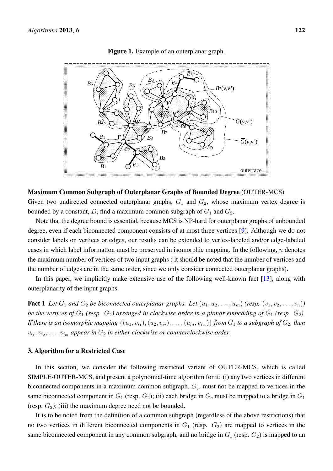

Figure 1. Example of an outerplanar graph.

#### Maximum Common Subgraph of Outerplanar Graphs of Bounded Degree (OUTER-MCS)

Given two undirected connected outerplanar graphs,  $G_1$  and  $G_2$ , whose maximum vertex degree is bounded by a constant,  $D$ , find a maximum common subgraph of  $G_1$  and  $G_2$ .

Note that the degree bound is essential, because MCS is NP-hard for outerplanar graphs of unbounded degree, even if each biconnected component consists of at most three vertices [9]. Although we do not consider labels on vertices or edges, our results can be extended to vertex-labeled and/or edge-labeled cases in which label information must be preserved in isomorphic mapping. In the following, *n* denotes the maximum number of vertices of two input graphs ( it should be noted that the number of vertices and the number of edges are in the same order, since we only consider connected outerplanar graphs).

In this paper, we implicitly make extensive use of the following well-known fact [13], along with outerplanarity of the input graphs.

**Fact 1** Let  $G_1$  and  $G_2$  be biconnected outerplanar graphs. Let  $(u_1, u_2, \ldots, u_m)$  (resp.  $(v_1, v_2, \ldots, v_n)$ ) *be the vertices of*  $G_1$  (resp.  $G_2$ ) arranged in clockwise order in a planar embedding of  $G_1$  (resp.  $G_2$ ). If there is an isomorphic mapping  $\{(u_1,v_{i_1}),(u_2,v_{i_2}),\ldots,(u_m,v_{i_m})\}$  from  $G_1$  to a subgraph of  $G_2$ , then  $v_{i_1}, v_{i_2}, \ldots, v_{i_m}$  appear in  $G_2$  in either clockwise or counterclockwise order.

## 3. Algorithm for a Restricted Case

In this section, we consider the following restricted variant of OUTER-MCS, which is called SIMPLE-OUTER-MCS, and present a polynomial-time algorithm for it: (i) any two vertices in different biconnected components in a maximum common subgraph, *Gc*, must not be mapped to vertices in the same biconnected component in  $G_1$  (resp.  $G_2$ ); (ii) each bridge in  $G_c$  must be mapped to a bridge in  $G_1$ (resp.  $G_2$ ); (iii) the maximum degree need not be bounded.

It is to be noted from the definition of a common subgraph (regardless of the above restrictions) that no two vertices in different biconnected components in  $G_1$  (resp.  $G_2$ ) are mapped to vertices in the same biconnected component in any common subgraph, and no bridge in  $G_1$  (resp.  $G_2$ ) is mapped to an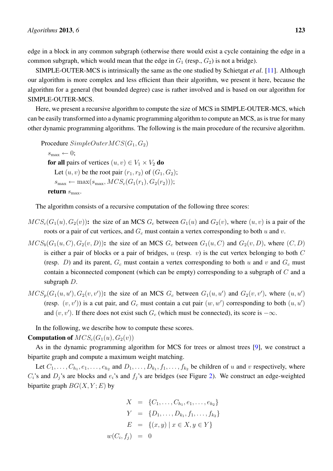edge in a block in any common subgraph (otherwise there would exist a cycle containing the edge in a common subgraph, which would mean that the edge in  $G_1$  (resp.,  $G_2$ ) is not a bridge).

SIMPLE-OUTER-MCS is intrinsically the same as the one studied by Schietgat *et al*. [11]. Although our algorithm is more complex and less efficient than their algorithm, we present it here, because the algorithm for a general (but bounded degree) case is rather involved and is based on our algorithm for SIMPLE-OUTER-MCS.

Here, we present a recursive algorithm to compute the size of MCS in SIMPLE-OUTER-MCS, which can be easily transformed into a dynamic programming algorithm to compute an MCS, as is true for many other dynamic programming algorithms. The following is the main procedure of the recursive algorithm.

Procedure *SimpleOuterMCS*(*G*1*, G*2)  $s_{\text{max}} \leftarrow 0;$ for all pairs of vertices  $(u, v) \in V_1 \times V_2$  do Let  $(u, v)$  be the root pair  $(r_1, r_2)$  of  $(G_1, G_2)$ ;  $s_{\text{max}} \leftarrow \max(s_{\text{max}}, MCS_c(G_1(r_1), G_2(r_2)));$ return  $s_{\text{max}}$ .

The algorithm consists of a recursive computation of the following three scores:

- $MCS<sub>c</sub>(G<sub>1</sub>(u), G<sub>2</sub>(v))$ : the size of an MCS  $G<sub>c</sub>$  between  $G<sub>1</sub>(u)$  and  $G<sub>2</sub>(v)$ , where  $(u, v)$  is a pair of the roots or a pair of cut vertices, and *G<sup>c</sup>* must contain a vertex corresponding to both *u* and *v*.
- $MCS_b(G_1(u, C), G_2(v, D))$ : the size of an MCS  $G_c$  between  $G_1(u, C)$  and  $G_2(v, D)$ , where  $(C, D)$ is either a pair of blocks or a pair of bridges, *u* (resp. *v*) is the cut vertex belonging to both *C* (resp. *D*) and its parent,  $G_c$  must contain a vertex corresponding to both *u* and *v* and  $G_c$  must contain a biconnected component (which can be empty) corresponding to a subgraph of *C* and a subgraph *D*.
- $MCS_p(G_1(u, u'), G_2(v, v'))$ : the size of an MCS  $G_c$  between  $G_1(u, u')$  and  $G_2(v, v')$ , where  $(u, u')$ (resp.  $(v, v')$ ) is a cut pair, and  $G_c$  must contain a cut pair  $(w, w')$  corresponding to both  $(u, u')$ and  $(v, v')$ . If there does not exist such  $G_c$  (which must be connected), its score is  $-\infty$ .

In the following, we describe how to compute these scores.

**Computation of**  $MCS<sub>c</sub>(G<sub>1</sub>(u), G<sub>2</sub>(v))$ 

As in the dynamic programming algorithm for MCS for trees or almost trees [9], we construct a bipartite graph and compute a maximum weight matching.

Let  $C_1, \ldots, C_{h_1}, e_1, \ldots, e_{h_2}$  and  $D_1, \ldots, D_{k_1}, f_1, \ldots, f_{k_2}$  be children of *u* and *v* respectively, where  $C_i$ 's and  $D_i$ 's are blocks and  $e_i$ 's and  $f_i$ 's are bridges (see Figure 2). We construct an edge-weighted bipartite graph  $BG(X, Y; E)$  by

$$
X = \{C_1, \ldots, C_{h_1}, e_1, \ldots, e_{h_2}\}
$$
  
\n
$$
Y = \{D_1, \ldots, D_{k_1}, f_1, \ldots, f_{k_2}\}
$$
  
\n
$$
E = \{(x, y) \mid x \in X, y \in Y\}
$$
  
\n
$$
w(C_i, f_j) = 0
$$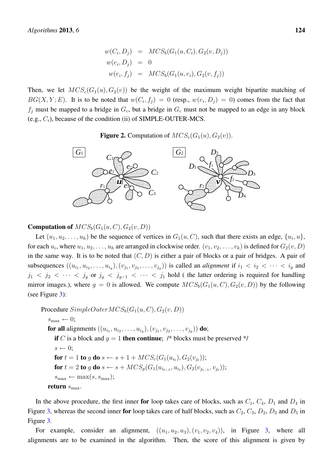$$
w(C_i, D_j) = \text{MCS}_b(G_1(u, C_i), G_2(v, D_j))
$$
  
\n
$$
w(e_i, D_j) = 0
$$
  
\n
$$
w(e_i, f_j) = \text{MCS}_b(G_1(u, e_i), G_2(v, f_j))
$$

Then, we let  $MCS<sub>c</sub>(G<sub>1</sub>(u), G<sub>2</sub>(v))$  be the weight of the maximum weight bipartite matching of  $BG(X, Y; E)$ . It is to be noted that  $w(C_i, f_j) = 0$  (resp.,  $w(e_i, D_j) = 0$ ) comes from the fact that  $f_i$  must be mapped to a bridge in  $G_c$ , but a bridge in  $G_c$  must not be mapped to an edge in any block (e.g., *Ci*), because of the condition (ii) of SIMPLE-OUTER-MCS.

**Figure 2.** Computation of  $MCS_c(G_1(u), G_2(v))$ .



#### **Computation of**  $MCS_b(G_1(u, C), G_2(v, D))$

Let  $(u_1, u_2, \ldots, u_h)$  be the sequence of vertices in  $G_1(u, C)$ , such that there exists an edge,  $\{u_i, u\}$ , for each  $u_i$ , where  $u_1, u_2, \ldots, u_h$  are arranged in clockwise order.  $(v_1, v_2, \ldots, v_k)$  is defined for  $G_2(v, D)$ in the same way. It is to be noted that (*C, D*) is either a pair of blocks or a pair of bridges. A pair of subsequences  $((u_{i_1}, u_{i_2}, \ldots, u_{i_g}), (v_{j_1}, v_{j_2}, \ldots, v_{j_g}))$  is called an *alignment* if  $i_1 < i_2 < \cdots < i_g$  and *j*<sub>1</sub> < *j*<sub>2</sub> < ⋅ ⋅ ⋅ *s j*<sub>*g*</sub> or *j*<sub>g</sub> < *j*<sub>g-1</sub> < ⋅ ⋅ ⋅ *s j*<sub>1</sub> hold ( the latter ordering is required for handling mirror images.), where  $q = 0$  is allowed. We compute  $MCS_b(G_1(u, C), G_2(v, D))$  by the following (see Figure 3):

Procedure  $SimpleOuterMCS_b(G_1(u, C), G_2(v, D))$  $s_{\text{max}} \leftarrow 0;$ for all alignments  $((u_{i_1}, u_{i_2}, \ldots, u_{i_g}), (v_{j_1}, v_{j_2}, \ldots, v_{j_g}))$  do; if *C* is a block and  $g = 1$  then continue; /\* blocks must be preserved \*/  $s \leftarrow 0$ ; for  $t = 1$  to  $g$  do  $s \leftarrow s + 1 + MCS_c(G_1(u_{i_t}), G_2(v_{j_t}));$ for  $t = 2$  to g do  $s \leftarrow s + MCS_p(G_1(u_{i_{t-1}}, u_{i_t}), G_2(v_{j_{t-1}}, v_{j_t}));$  $s_{\text{max}} \leftarrow \max(s, s_{\text{max}});$ return  $s_{\text{max}}$ .

In the above procedure, the first inner for loop takes care of blocks, such as  $C_1$ ,  $C_4$ ,  $D_1$  and  $D_4$  in Figure 3, whereas the second inner for loop takes care of half blocks, such as  $C_2$ ,  $C_3$ ,  $D_2$ ,  $D_3$  and  $D_5$  in Figure 3.

For example, consider an alignment,  $((u_1, u_2, u_3), (v_1, v_2, v_4))$ , in Figure 3, where all alignments are to be examined in the algorithm. Then, the score of this alignment is given by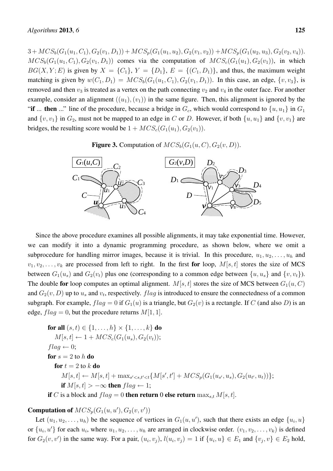$3+MCS_b(G_1(u_1, C_1), G_2(v_1, D_1))+MCS_p(G_1(u_1, u_2), G_2(v_1, v_2))+MCS_p(G_1(u_2, u_3), G_2(v_2, v_4)).$  $MCS_b(G_1(u_1, C_1), G_2(v_1, D_1))$  comes via the computation of  $MCS_c(G_1(u_1), G_2(v_1))$ , in which *BG*(*X,Y*; *E*) is given by  $X = \{C_1\}$ ,  $Y = \{D_1\}$ ,  $E = \{(C_1, D_1)\}$ , and thus, the maximum weight matching is given by  $w(C_1, D_1) = MCS_b(G_1(u_1, C_1), G_2(v_1, D_1))$ . In this case, an edge,  $\{v, v_3\}$ , is removed and then  $v_3$  is treated as a vertex on the path connecting  $v_2$  and  $v_4$  in the outer face. For another example, consider an alignment  $((u_1), (v_1))$  in the same figure. Then, this alignment is ignored by the "if ... then ..." line of the procedure, because a bridge in  $G_c$ , which would correspond to  $\{u, u_1\}$  in  $G_1$ and  $\{v, v_1\}$  in  $G_2$ , must not be mapped to an edge in *C* or *D*. However, if both  $\{u, u_1\}$  and  $\{v, v_1\}$  are bridges, the resulting score would be  $1 + MCS<sub>c</sub>(G<sub>1</sub>(u<sub>1</sub>), G<sub>2</sub>(v<sub>1</sub>)).$ 

**Figure 3.** Computation of  $MCS_b(G_1(u, C), G_2(v, D))$ .



Since the above procedure examines all possible alignments, it may take exponential time. However, we can modify it into a dynamic programming procedure, as shown below, where we omit a subprocedure for handling mirror images, because it is trivial. In this procedure,  $u_1, u_2, \ldots, u_h$  and  $v_1, v_2, \ldots, v_k$  are processed from left to right. In the first for loop,  $M[s, t]$  stores the size of MCS between  $G_1(u_s)$  and  $G_2(v_t)$  plus one (corresponding to a common edge between  $\{u, u_s\}$  and  $\{v, v_t\}$ ). The double **for** loop computes an optimal alignment.  $M[s, t]$  stores the size of MCS between  $G_1(u, C)$ and  $G_2(v, D)$  up to  $u_s$  and  $v_t$ , respectively.  $flag$  is introduced to ensure the connectedness of a common subgraph. For example,  $flag = 0$  if  $G_1(u)$  is a triangle, but  $G_2(v)$  is a rectangle. If C (and also D) is an edge,  $flag = 0$ , but the procedure returns  $M[1, 1]$ .

**for all** 
$$
(s, t) \in \{1, \ldots, h\} \times \{1, \ldots, k\}
$$
 **do**

\n
$$
M[s, t] \leftarrow 1 + MCS_c(G_1(u_s), G_2(v_t));
$$
\n*flag*  $\leftarrow$  0;

\n**for**  $s = 2$  **to**  $h$  **do**

\n
$$
\text{for } t = 2
$$
 **to**  $k$  **do**\n
$$
M[s, t] \leftarrow M[s, t] + \max_{s' < s, t' < t} \{M[s', t'] + MCS_p(G_1(u_{s'}, u_s), G_2(u_{t'}, u_t))\};
$$
\n**if**  $M[s, t] > -\infty$  **then**  $flag \leftarrow 1$ ;

\n**if**  $G: \text{ and } \text{if } M \text{ is a } t \in \mathbb{R} \text{ and } \text{if } M \text{ is a } t \in \mathbb{R} \text{ and } \text{if } M \text{ is a } t \in \mathbb{R} \text{ and } \text{if } M \text{ is a } t \in \mathbb{R} \text{ and } \text{if } M \text{ is a } t \in \mathbb{R} \text{ and } \text{if } M \text{ is a } t \in \mathbb{R} \text{ and } \text{if } M \text{ is a } t \in \mathbb{R} \text{ and } \text{if } M \text{ is a } t \in \mathbb{R} \text{ and } \text{if } M \text{ is a } t \in \mathbb{R} \text{ and } \text{if } M \text{ is a } t \in \mathbb{R} \text{ and } \text{if } M \text{ is a } t \in \mathbb{R} \text{ and } \text{if } M \text{ is a } t \in \mathbb{R} \text{ and } \text{if } M \text{ is a } t \in \mathbb{R} \text{ and } \text{if } M \text{ is a } t \in \mathbb{R} \text{ and } \text{if } M \text{ is a } t \in \mathbb{R} \text{ and } \text{if } M \text{ is a } t \in \mathbb{R} \text{ and } \text{if } M \text{ is a } t \in \math$ 

if *C* is a block and  $flag = 0$  then return 0 else return  $\max_{s,t} M[s,t]$ .

## **Computation of**  $MCS_p(G_1(u, u'), G_2(v, v'))$

Let  $(u_1, u_2, \ldots, u_h)$  be the sequence of vertices in  $G_1(u, u')$ , such that there exists an edge  $\{u_i, u\}$ or  $\{u_i, u'\}$  for each  $u_i$ , where  $u_1, u_2, \dots, u_h$  are arranged in clockwise order.  $(v_1, v_2, \dots, v_k)$  is defined for  $G_2(v, v')$  in the same way. For a pair,  $(u_i, v_j)$ ,  $l(u_i, v_j) = 1$  if  $\{u_i, u\} \in E_1$  and  $\{v_j, v\} \in E_2$  hold,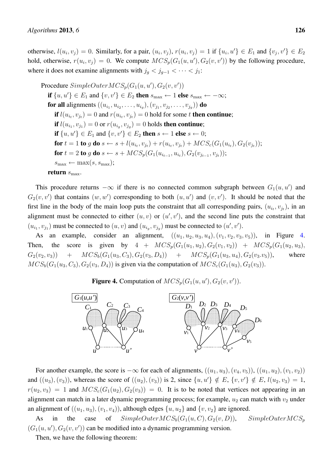otherwise,  $l(u_i, v_j) = 0$ . Similarly, for a pair,  $(u_i, v_j)$ ,  $r(u_i, v_j) = 1$  if  $\{u_i, u'\} \in E_1$  and  $\{v_j, v'\} \in E_2$ hold, otherwise,  $r(u_i, v_j) = 0$ . We compute  $MCS_p(G_1(u, u'), G_2(v, v'))$  by the following procedure, where it does not examine alignments with  $j_q < j_{q-1} < \cdots < j_1$ :

Procedure  $SimpleOuterMCS_p(G_1(u, u'), G_2(v, v'))$ if  $\{u, u'\} \in E_1$  and  $\{v, v'\} \in E_2$  then  $s_{\text{max}} \leftarrow 1$  else  $s_{\text{max}} \leftarrow -\infty$ ; for all alignments  $((u_{i_1}, u_{i_2}, \ldots, u_{i_g}), (v_{j_1}, v_{j_2}, \ldots, v_{j_g}))$  do if  $l(u_{i_t}, v_{j_t}) = 0$  and  $r(u_{i_t}, v_{j_t}) = 0$  hold for some *t* then continue; if  $l(u_{i_1}, v_{j_1}) = 0$  or  $r(u_{i_g}, v_{j_g}) = 0$  holds then continue; if  $\{u, u'\}$  ∈  $E_1$  and  $\{v, v'\}$  ∈  $E_2$  then  $s$  ← 1 else  $s$  ← 0; for  $t = 1$  to  $g$  do  $s \leftarrow s + l(u_{i_t}, v_{j_t}) + r(u_{i_t}, v_{j_t}) + MCS_c(G_1(u_{i_t}), G_2(v_{j_t}));$ for  $t = 2$  to g do  $s \leftarrow s + MCS_p(G_1(u_{i_{t-1}}, u_{i_t}), G_2(v_{j_{t-1}}, v_{j_t}));$  $s_{\text{max}} \leftarrow \max(s, s_{\text{max}});$ return  $s_{\text{max}}$ .

This procedure returns  $-\infty$  if there is no connected common subgraph between  $G_1(u, u')$  and  $G_2(v, v')$  that contains  $(w, w')$  corresponding to both  $(u, u')$  and  $(v, v')$ . It should be noted that the first line in the body of the main loop puts the constraint that all corresponding pairs,  $(u_{i_t}, v_{j_t})$ , in an alignment must be connected to either  $(u, v)$  or  $(u', v')$ , and the second line puts the constraint that  $(u_{i_1}, v_{j_1})$  must be connected to  $(u, v)$  and  $(u_{i_g}, v_{j_g})$  must be connected to  $(u', v')$ .

As an example, consider an alignment,  $((u_1, u_2, u_3, u_4), (v_1, v_2, v_3, v_5))$ , in Figure 4. Then, the score is given by  $4 + MCS_p(G_1(u_1, u_2), G_2(v_1, v_2)) + MCS_p(G_1(u_2, u_3))$  $G_2(v_2, v_3)$  +  $MCS_b(G_1(u_3, C_3), G_2(v_3, D_4))$  +  $MCS_p(G_1(u_3, u_4), G_2(v_3, v_5))$ , where  $MCS_b(G_1(u_3, C_3), G_2(v_3, D_4)$  is given via the computation of  $MCS_c(G_1(u_3), G_2(v_3))$ .

**Figure 4.** Computation of  $MCS_p(G_1(u, u'), G_2(v, v'))$ .



For another example, the score is  $-\infty$  for each of alignments,  $((u_1, u_3), (v_4, v_5)), ((u_1, u_2), (v_1, v_2))$ and  $((u_3), (v_3))$ , whereas the score of  $((u_2), (v_3))$  is 2, since  $\{u, u'\} \notin E$ ,  $\{v, v'\} \notin E$ ,  $l(u_2, v_3) = 1$ ,  $r(u_2, v_3) = 1$  and  $MCS_c(G_1(u_2), G_2(v_3)) = 0$ . It is to be noted that vertices not appearing in an alignment can match in a later dynamic programming process; for example,  $u_2$  can match with  $v_2$  under an alignment of  $((u_1, u_3), (v_1, v_4))$ , although edges  $\{u, u_2\}$  and  $\{v, v_2\}$  are ignored.

As in the case of  $SimpleOuterMCS_b(G_1(u, C), G_2(v, D))$ ,  $SimpleOuterMCS_p$  $(G_1(u, u'), G_2(v, v'))$  can be modified into a dynamic programming version.

Then, we have the following theorem: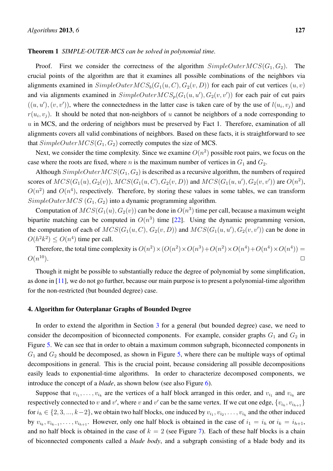#### Theorem 1 *SIMPLE-OUTER-MCS can be solved in polynomial time.*

Proof. First we consider the correctness of the algorithm  $SimpleOuterMCS(G_1, G_2)$ . The crucial points of the algorithm are that it examines all possible combinations of the neighbors via alignments examined in  $SimpleOuterMCS_b(G_1(u, C), G_2(v, D))$  for each pair of cut vertices  $(u, v)$ and via alignments examined in  $SimpleOuterMCS_p(G_1(u, u'), G_2(v, v'))$  for each pair of cut pairs  $((u, u'), (v, v'))$ , where the connectedness in the latter case is taken care of by the use of  $l(u_i, v_j)$  and  $r(u_i, v_j)$ . It should be noted that non-neighbors of *u* cannot be neighbors of a node corresponding to *u* in MCS, and the ordering of neighbors must be preserved by Fact 1. Therefore, examination of all alignments covers all valid combinations of neighbors. Based on these facts, it is straightforward to see that  $SimpleOuterMCS(G_1, G_2)$  correctly computes the size of MCS.

Next, we consider the time complexity. Since we examine  $O(n^2)$  possible root pairs, we focus on the case where the roots are fixed, where *n* is the maximum number of vertices in  $G_1$  and  $G_2$ .

Although *SimpleOuterMCS*(*G*1*, G*2) is described as a recursive algorithm, the numbers of required scores of  $MCS(G_1(u), G_2(v))$ ,  $MCS(G_1(u, C), G_2(v, D))$  and  $MCS(G_1(u, u'), G_2(v, v'))$  are  $O(n^2)$ ,  $O(n^2)$  and  $O(n^4)$ , respectively. Therefore, by storing these values in some tables, we can transform *SimpleOuterMCS*  $(G_1, G_2)$  into a dynamic programming algorithm.

Computation of  $MCS(G_1(u), G_2(v))$  can be done in  $O(n^3)$  time per call, because a maximum weight bipartite matching can be computed in  $O(n^3)$  time [22]. Using the dynamic programming version, the computation of each of  $MCS(G_1(u, C), G_2(v, D))$  and  $MCS(G_1(u, u'), G_2(v, v'))$  can be done in  $O(h^2k^2) \leq O(n^4)$  time per call.

Therefore, the total time complexity is  $O(n^2) \times (O(n^2) \times O(n^3) + O(n^2) \times O(n^4) + O(n^4) \times O(n^4)) =$  $O(n^{10})$ .  $\Box$ <sup>10</sup>).

Though it might be possible to substantially reduce the degree of polynomial by some simplification, as done in [11], we do not go further, because our main purpose is to present a polynomial-time algorithm for the non-restricted (but bounded degree) case.

#### 4. Algorithm for Outerplanar Graphs of Bounded Degree

In order to extend the algorithm in Section 3 for a general (but bounded degree) case, we need to consider the decomposition of biconnected components. For example, consider graphs  $G_1$  and  $G_2$  in Figure 5. We can see that in order to obtain a maximum common subgraph, biconnected components in  $G_1$  and  $G_2$  should be decomposed, as shown in Figure 5, where there can be multiple ways of optimal decompositions in general. This is the crucial point, because considering all possible decompositions easily leads to exponential-time algorithms. In order to characterize decomposed components, we introduce the concept of a *blade*, as shown below (see also Figure 6).

Suppose that  $v_{i_1}, \ldots, v_{i_k}$  are the vertices of a half block arranged in this order, and  $v_{i_1}$  and  $v_{i_k}$  are respectively connected to *v* and *v'*, where *v* and *v'* can be the same vertex. If we cut one edge,  $\{v_{i_h}, v_{i_{h+1}}\}$ for  $i_h \in \{2, 3, ..., k-2\}$ , we obtain two half blocks, one induced by  $v_{i_1}, v_{i_2}, \ldots, v_{i_h}$  and the other induced by  $v_{i_k}, v_{i_{k-1}}, \ldots, v_{i_{h+1}}$ . However, only one half block is obtained in the case of  $i_1 = i_h$  or  $i_k = i_{h+1}$ , and no half block is obtained in the case of  $k = 2$  (see Figure 7). Each of these half blocks is a chain of biconnected components called a *blade body*, and a subgraph consisting of a blade body and its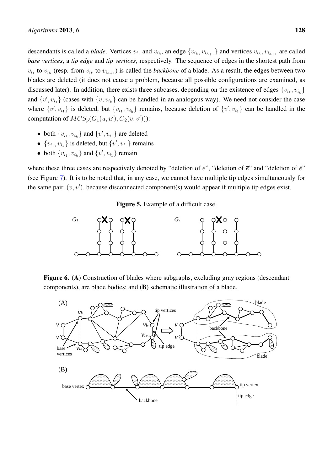descendants is called a *blade*. Vertices  $v_{i_1}$  and  $v_{i_k}$ , an edge  $\{v_{i_h}, v_{i_{h+1}}\}$  and vertices  $v_{i_h}, v_{i_{h+1}}$  are called *base vertices*, a *tip edge* and *tip vertices*, respectively. The sequence of edges in the shortest path from  $v_{i_1}$  to  $v_{i_h}$  (resp. from  $v_{i_k}$  to  $v_{i_{h+1}}$ ) is called the *backbone* of a blade. As a result, the edges between two blades are deleted (it does not cause a problem, because all possible configurations are examined, as discussed later). In addition, there exists three subcases, depending on the existence of edges  $\{v_{i_1}, v_{i_k}\}$ and  $\{v', v_{i_1}\}$  (cases with  $\{v, v_{i_k}\}$  can be handled in an analogous way). We need not consider the case where  $\{v', v_{i_1}\}\$ is deleted, but  $\{v_{i_1}, v_{i_k}\}\$ remains, because deletion of  $\{v', v_{i_1}\}\$ can be handled in the computation of  $MCS_p(G_1(u, u'), G_2(v, v'))$ :

- both  $\{v_{i_1}, v_{i_k}\}$  and  $\{v', v_{i_1}\}$  are deleted
- $\{v_{i_1}, v_{i_k}\}\$ is deleted, but  $\{v', v_{i_1}\}\$ remains
- both  $\{v_{i_1}, v_{i_k}\}$  and  $\{v', v_{i_1}\}$  remain

where these three cases are respectively denoted by "deletion of *e*", "deletion of *e*" and "deletion of *e*ˆ" (see Figure 7). It is to be noted that, in any case, we cannot have multiple tip edges simultaneously for the same pair, (*v, v′* ), because disconnected component(s) would appear if multiple tip edges exist.

Figure 5. Example of a difficult case.



Figure 6. (A) Construction of blades where subgraphs, excluding gray regions (descendant components), are blade bodies; and (B) schematic illustration of a blade.

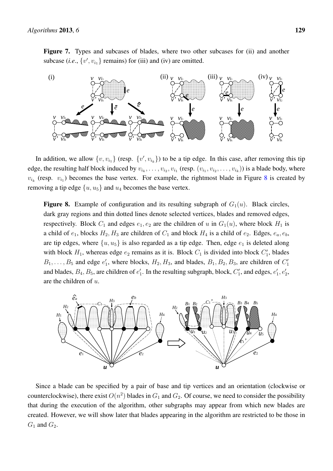

In addition, we allow  $\{v, v_{i_1}\}$  (resp.  $\{v', v_{i_k}\}\)$  to be a tip edge. In this case, after removing this tip edge, the resulting half block induced by  $v_{i_k}, \ldots, v_{i_2}, v_{i_1}$  (resp.  $(v_{i_1}, v_{i_2}, \ldots, v_{i_k})$ ) is a blade body, where  $v_{i_k}$  (resp.  $v_{i_1}$ ) becomes the base vertex. For example, the rightmost blade in Figure 8 is created by removing a tip edge  $\{u, u_5\}$  and  $u_4$  becomes the base vertex.

**Figure 8.** Example of configuration and its resulting subgraph of  $G_1(u)$ . Black circles, dark gray regions and thin dotted lines denote selected vertices, blades and removed edges, respectively. Block  $C_1$  and edges  $e_1, e_2$  are the children of *u* in  $G_1(u)$ , where block  $H_1$  is a child of  $e_1$ , blocks  $H_2$ ,  $H_3$  are children of  $C_1$  and block  $H_4$  is a child of  $e_2$ . Edges,  $e_a$ ,  $e_b$ , are tip edges, where  $\{u, u_5\}$  is also regarded as a tip edge. Then, edge  $e_1$  is deleted along with block  $H_1$ , whereas edge  $e_2$  remains as it is. Block  $C_1$  is divided into block  $C'_1$ , blades  $B_1, \ldots, B_5$  and edge  $e'_1$ , where blocks,  $H_2, H_3$ , and blades,  $B_1, B_2, B_3$ , are children of  $C'_1$ and blades,  $B_4$ ,  $B_5$ , are children of  $e'_1$ . In the resulting subgraph, block,  $C'_1$ , and edges,  $e'_1$ ,  $e'_2$ , are the children of *u*.



Since a blade can be specified by a pair of base and tip vertices and an orientation (clockwise or counterclockwise), there exist  $O(n^2)$  blades in  $G_1$  and  $G_2$ . Of course, we need to consider the possibility that during the execution of the algorithm, other subgraphs may appear from which new blades are created. However, we will show later that blades appearing in the algorithm are restricted to be those in  $G_1$  and  $G_2$ .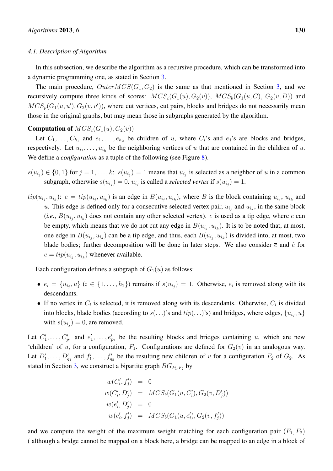#### *4.1. Description of Algorithm*

In this subsection, we describe the algorithm as a recursive procedure, which can be transformed into a dynamic programming one, as stated in Section 3.

The main procedure,  $OuterMCS(G_1, G_2)$  is the same as that mentioned in Section 3, and we recursively compute three kinds of scores:  $MCS<sub>c</sub>(G<sub>1</sub>(u), G<sub>2</sub>(v))$ ,  $MCS<sub>b</sub>(G<sub>1</sub>(u, C), G<sub>2</sub>(v, D))$  and  $MCS_p(G_1(u, u'), G_2(v, v'))$ , where cut vertices, cut pairs, blocks and bridges do not necessarily mean those in the original graphs, but may mean those in subgraphs generated by the algorithm.

#### **Computation of**  $MCS<sub>c</sub>(G<sub>1</sub>(u), G<sub>2</sub>(v))$

Let  $C_1, \ldots, C_{h_1}$  and  $e_1, \ldots, e_{h_2}$  be children of *u*, where  $C_i$ 's and  $e_j$ 's are blocks and bridges, respectively. Let  $u_{i_1}, \ldots, u_{i_h}$  be the neighboring vertices of *u* that are contained in the children of *u*. We define a *configuration* as a tuple of the following (see Figure 8).

- $s(u_{i_j}) \in \{0,1\}$  for  $j = 1, \ldots, k$ :  $s(u_{i_j}) = 1$  means that  $u_{i_j}$  is selected as a neighbor of u in a common subgraph, otherwise  $s(u_{i_j}) = 0$ .  $u_{i_j}$  is called a *selected vertex* if  $s(u_{i_j}) = 1$ .
- $tip(u_{i_j}, u_{i_k})$ :  $e = tip(u_{i_j}, u_{i_k})$  is an edge in  $B(u_{i_j}, u_{i_k})$ , where B is the block containing  $u_{i_j}$ ,  $u_{i_k}$  and *u*. This edge is defined only for a consecutive selected vertex pair,  $u_{i_j}$  and  $u_{i_k}$ , in the same block  $(i.e., B(u_{i_j}, u_{i_k})$  does not contain any other selected vertex). *e* is used as a tip edge, where *e* can be empty, which means that we do not cut any edge in  $B(u_{i_j}, u_{i_k})$ . It is to be noted that, at most, one edge in  $B(u_{i_j}, u_{i_k})$  can be a tip edge, and thus, each  $B(u_{i_j}, u_{i_k})$  is divided into, at most, two blade bodies; further decomposition will be done in later steps. We also consider  $\bar{e}$  and  $\hat{e}$  for  $e = tip(u_{i_j}, u_{i_k})$  whenever available.

Each configuration defines a subgraph of  $G_1(u)$  as follows:

- $e_i = \{u_{i_j}, u\}$   $(i \in \{1, ..., h_2\})$  remains if  $s(u_{i_j}) = 1$ . Otherwise,  $e_i$  is removed along with its descendants.
- If no vertex in  $C_i$  is selected, it is removed along with its descendants. Otherwise,  $C_i$  is divided into blocks, blade bodies (according to  $s($ ...)'s and  $tip($ ...)'s) and bridges, where edges,  $\{u_{i_j}, u\}$ with  $s(u_{i_j}) = 0$ , are removed.

Let  $C'_1, \ldots, C'_{p_1}$  and  $e'_1, \ldots, e'_{p_2}$  be the resulting blocks and bridges containing *u*, which are new 'children' of *u*, for a configuration,  $F_1$ . Configurations are defined for  $G_2(v)$  in an analogous way. Let  $D'_1, \ldots, D'_{q_1}$  and  $f'_1, \ldots, f'_{q_2}$  be the resulting new children of *v* for a configuration  $F_2$  of  $G_2$ . As stated in Section 3, we construct a bipartite graph *BG<sup>F</sup>*1*,F*<sup>2</sup> by

$$
w(C'_i, f'_j) = 0
$$
  
\n
$$
w(C'_i, D'_j) = MCS_b(G_1(u, C'_i), G_2(v, D'_j))
$$
  
\n
$$
w(e'_i, D'_j) = 0
$$
  
\n
$$
w(e'_i, f'_j) = MCS_b(G_1(u, e'_i), G_2(v, f'_j))
$$

and we compute the weight of the maximum weight matching for each configuration pair  $(F_1, F_2)$ ( although a bridge cannot be mapped on a block here, a bridge can be mapped to an edge in a block of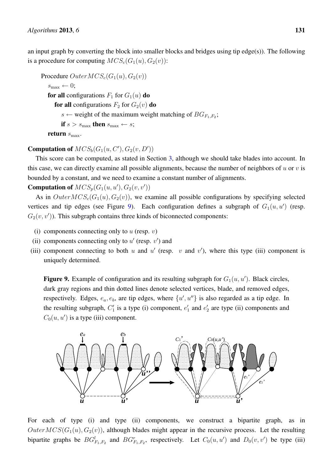an input graph by converting the block into smaller blocks and bridges using tip edge(s)). The following is a procedure for computing  $MCS_c(G_1(u), G_2(v))$ :

Procedure  $OuterMCS<sub>c</sub>(G<sub>1</sub>(u), G<sub>2</sub>(v))$  $s_{\text{max}} \leftarrow 0;$ for all configurations  $F_1$  for  $G_1(u)$  do for all configurations  $F_2$  for  $G_2(v)$  do  $s \leftarrow$  weight of the maximum weight matching of  $BG_{F_1,F_2}$ ; if  $s > s_{\text{max}}$  then  $s_{\text{max}} \leftarrow s$ ; return  $s_{\text{max}}$ .

## **Computation of**  $MCS_b(G_1(u, C'), G_2(v, D'))$

This score can be computed, as stated in Section 3, although we should take blades into account. In this case, we can directly examine all possible alignments, because the number of neighbors of *u* or *v* is bounded by a constant, and we need to examine a constant number of alignments.

## **Computation of**  $MCS_p(G_1(u, u'), G_2(v, v'))$

As in  $OuterMCS<sub>c</sub>(G<sub>1</sub>(u), G<sub>2</sub>(v))$ , we examine all possible configurations by specifying selected vertices and tip edges (see Figure 9). Each configuration defines a subgraph of  $G_1(u, u')$  (resp.  $G_2(v, v')$ ). This subgraph contains three kinds of biconnected components:

- (i) components connecting only to *u* (resp. *v*)
- (ii) components connecting only to  $u'$  (resp.  $v'$ ) and
- (iii) component connecting to both  $u$  and  $u'$  (resp.  $v$  and  $v'$ ), where this type (iii) component is uniquely determined.

**Figure 9.** Example of configuration and its resulting subgraph for  $G_1(u, u')$ . Black circles, dark gray regions and thin dotted lines denote selected vertices, blade, and removed edges, respectively. Edges,  $e_a$ ,  $e_b$ , are tip edges, where  $\{u', u''\}$  is also regarded as a tip edge. In the resulting subgraph,  $C'_1$  is a type (i) component,  $e'_1$  and  $e'_2$  are type (ii) components and  $C_0(u, u')$  is a type (iii) component.



For each of type (i) and type (ii) components, we construct a bipartite graph, as in  $OuterMCS(G_1(u), G_2(v))$ , although blades might appear in the recursive process. Let the resulting bipartite graphs be  $BG_{F_1,F_2}^l$  and  $BG_{F_1,F_2}^r$ , respectively. Let  $C_0(u, u')$  and  $D_0(v, v')$  be type (iii)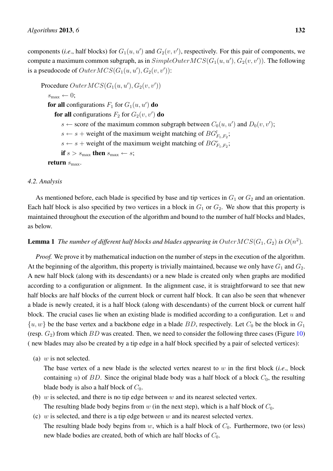components (*i.e.*, half blocks) for  $G_1(u, u')$  and  $G_2(v, v')$ , respectively. For this pair of components, we compute a maximum common subgraph, as in  $SimpleOuterMCS(G_1(u, u'), G_2(v, v'))$ . The following is a pseudocode of  $OuterMCS(G_1(u,u'),G_2(v,v'))$ :

Procedure  $OuterMCS(G_1(u, u'), G_2(v, v'))$  $s_{\text{max}} \leftarrow 0;$ for all configurations  $F_1$  for  $G_1(u, u')$  do for all configurations  $F_2$  for  $G_2(v, v')$  do  $s \leftarrow$  score of the maximum common subgraph between  $C_0(u, u')$  and  $D_0(v, v')$ ;  $s \leftarrow s$  + weight of the maximum weight matching of  $BG_{F_1,F_2}^l$ ;  $s \leftarrow s$  + weight of the maximum weight matching of  $BG_{F_1,F_2}^r$ ; if  $s > s_{\text{max}}$  then  $s_{\text{max}} \leftarrow s$ ; return  $s_{\text{max}}$ .

#### *4.2. Analysis*

As mentioned before, each blade is specified by base and tip vertices in  $G_1$  or  $G_2$  and an orientation. Each half block is also specified by two vertices in a block in  $G_1$  or  $G_2$ . We show that this property is maintained throughout the execution of the algorithm and bound to the number of half blocks and blades, as below.

**Lemma 1** The number of different half blocks and blades appearing in  $OuterMCS(G_1, G_2)$  is  $O(n^2)$ .

*Proof.* We prove it by mathematical induction on the number of steps in the execution of the algorithm. At the beginning of the algorithm, this property is trivially maintained, because we only have  $G_1$  and  $G_2$ . A new half block (along with its descendants) or a new blade is created only when graphs are modified according to a configuration or alignment. In the alignment case, it is straightforward to see that new half blocks are half blocks of the current block or current half block. It can also be seen that whenever a blade is newly created, it is a half block (along with descendants) of the current block or current half block. The crucial cases lie when an existing blade is modified according to a configuration. Let *u* and  $\{u, w\}$  be the base vertex and a backbone edge in a blade *BD*, respectively. Let  $C_0$  be the block in  $G_1$ (resp.  $G_2$ ) from which  $BD$  was created. Then, we need to consider the following three cases (Figure 10) ( new blades may also be created by a tip edge in a half block specified by a pair of selected vertices):

(a) *w* is not selected.

The base vertex of a new blade is the selected vertex nearest to *w* in the first block (*i.e*., block containing  $u$ ) of  $BD$ . Since the original blade body was a half block of a block  $C_0$ , the resulting blade body is also a half block of *C*0.

- (b) *w* is selected, and there is no tip edge between *w* and its nearest selected vertex. The resulting blade body begins from  $w$  (in the next step), which is a half block of  $C_0$ .
- (c) *w* is selected, and there is a tip edge between *w* and its nearest selected vertex. The resulting blade body begins from  $w$ , which is a half block of  $C_0$ . Furthermore, two (or less) new blade bodies are created, both of which are half blocks of *C*0.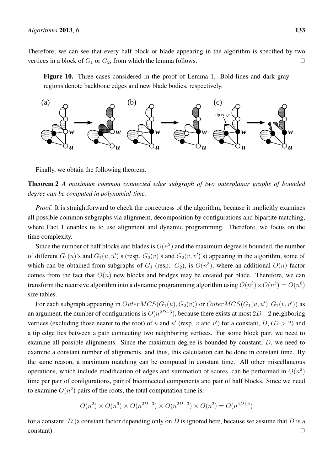Therefore, we can see that every half block or blade appearing in the algorithm is specified by two vertices in a block of  $G_1$  or  $G_2$ , from which the lemma follows.  $\Box$ 

Figure 10. Three cases considered in the proof of Lemma 1. Bold lines and dark gray regions denote backbone edges and new blade bodies, respectively.



Finally, we obtain the following theorem.



*Proof.* It is straightforward to check the correctness of the algorithm, because it implicitly examines all possible common subgraphs via alignment, decomposition by configurations and bipartite matching, where Fact 1 enables us to use alignment and dynamic programming. Therefore, we focus on the time complexity.

Since the number of half blocks and blades is  $O(n^2)$  and the maximum degree is bounded, the number of different  $G_1(u)$ 's and  $G_1(u, u')$ 's (resp.  $G_2(v)$ 's and  $G_2(v, v')$ 's) appearing in the algorithm, some of which can be obtained from subgraphs of  $G_1$  (resp.  $G_2$ ), is  $O(n^3)$ , where an additional  $O(n)$  factor comes from the fact that  $O(n)$  new blocks and bridges may be created per blade. Therefore, we can transform the recursive algorithm into a dynamic programming algorithm using  $O(n^3) \times O(n^3) = O(n^6)$ size tables.

For each subgraph appearing in  $OuterMCS(G_1(u), G_2(v))$  or  $OuterMCS(G_1(u, u'), G_2(v, v'))$  as an argument, the number of configurations is  $O(n^{2D-3})$ , because there exists at most  $2D-2$  neighboring vertices (excluding those nearer to the root) of *u* and *u'* (resp. *v* and *v'*) for a constant, *D*, (*D* > 2) and a tip edge lies between a path connecting two neighboring vertices. For some block pair, we need to examine all possible alignments. Since the maximum degree is bounded by constant, *D*, we need to examine a constant number of alignments, and thus, this calculation can be done in constant time. By the same reason, a maximum matching can be computed in constant time. All other miscellaneous operations, which include modification of edges and summation of scores, can be performed in  $O(n^2)$ time per pair of configurations, pair of biconnected components and pair of half blocks. Since we need to examine  $O(n^2)$  pairs of the roots, the total computation time is:

$$
O(n^2) \times O(n^6) \times O(n^{2D-3}) \times O(n^{2D-3}) \times O(n^2) = O(n^{4D+4})
$$

for a constant, *D* (a constant factor depending only on *D* is ignored here, because we assume that *D* is a  $\Box$   $\Box$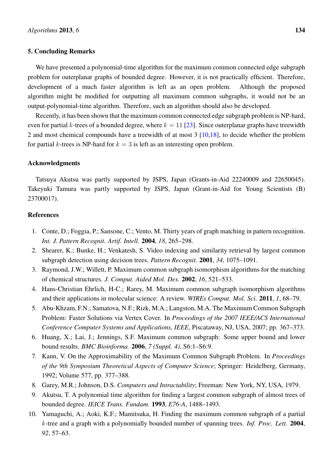#### 5. Concluding Remarks

We have presented a polynomial-time algorithm for the maximum common connected edge subgraph problem for outerplanar graphs of bounded degree. However, it is not practically efficient. Therefore, development of a much faster algorithm is left as an open problem. Although the proposed algorithm might be modified for outputting all maximum common subgraphs, it would not be an output-polynomial-time algorithm. Therefore, such an algorithm should also be developed.

Recently, it has been shown that the maximum common connected edge subgraph problem is NP-hard, even for partial *k*-trees of a bounded degree, where  $k = 11$  [23]. Since outerplanar graphs have treewidth 2 and most chemical compounds have a treewidth of at most 3 [10,18], to decide whether the problem for partial *k*-trees is NP-hard for  $k = 3$  is left as an interesting open problem.

#### Acknowledgments

Tatsuya Akutsu was partly supported by JSPS, Japan (Grants-in-Aid 22240009 and 22650045). Takeyuki Tamura was partly supported by JSPS, Japan (Grant-in-Aid for Young Scientists (B) 23700017).

#### References

- 1. Conte, D.; Foggia, P.; Sansone, C.; Vento, M. Thirty years of graph matching in pattern recognition. *Int. J. Pattern Recognit. Artif. Intell.* 2004, *18*, 265–298.
- 2. Shearer, K.; Bunke, H.; Venkatesh, S. Video indexing and similarity retrieval by largest common subgraph detection using decision trees. *Pattern Recognit.* 2001, *34*, 1075–1091.
- 3. Raymond, J.W.; Willett, P. Maximum common subgraph isomorphism algorithms for the matching of chemical structures. *J. Comput. Aided Mol. Des.* 2002, *16*, 521–533.
- 4. Hans-Christian Ehrlich, H-C.; Rarey, M. Maximum common subgraph isomorphism algorithms and their applications in molecular science: A review. *WIREs Comput. Mol. Sci.* 2011, *1*, 68–79.
- 5. Abu-Khzam, F.N.; Samatova, N.F.; Rizk, M.A.; Langston, M.A. The Maximum Common Subgraph Problem: Faster Solutions via Vertex Cover. In *Proceedings of the 2007 IEEE/ACS International Conference Computer Systems and Applications, IEEE*, Piscataway, NJ, USA, 2007; pp. 367–373.
- 6. Huang, X.; Lai, J.; Jennings, S.F. Maximum common subgraph: Some upper bound and lower bound results. *BMC Bioinforma.* 2006, *7 (Suppl. 4)*, S6:1–S6:9.
- 7. Kann, V. On the Approximability of the Maximum Common Subgraph Problem. In *Proceedings of the 9th Symposium Theoretical Aspects of Computer Science*; Springer: Heidelberg, Germany, 1992; Volume 577, pp. 377–388.
- 8. Garey, M.R.; Johnson, D.S. *Computers and Intractability*; Freeman: New York, NY, USA, 1979.
- 9. Akutsu, T. A polynomial time algorithm for finding a largest common subgraph of almost trees of bounded degree. *IEICE Trans. Fundam.* 1993, *E76-A*, 1488–1493.
- 10. Yamaguchi, A.; Aoki, K.F.; Mamitsuka, H. Finding the maximum common subgraph of a partial *k*-tree and a graph with a polynomially bounded number of spanning trees. *Inf. Proc. Lett.* 2004, *92*, 57–63.